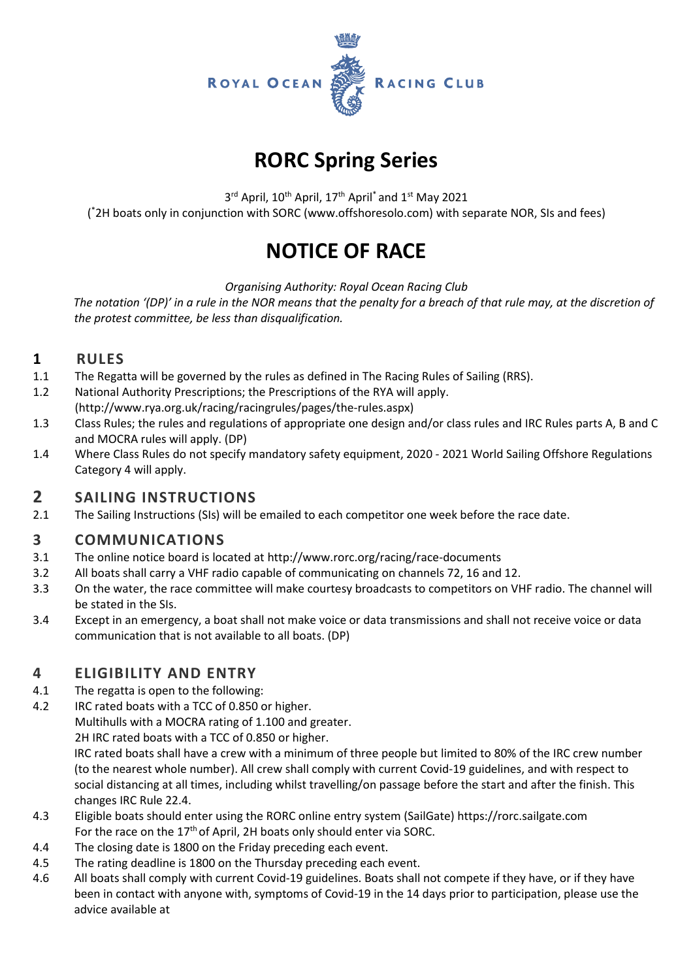

# **RORC Spring Series**

3<sup>rd</sup> April, 10<sup>th</sup> April, 17<sup>th</sup> April<sup>\*</sup> and 1<sup>st</sup> May 2021 ( \*2H boats only in conjunction with SORC (www.offshoresolo.com) with separate NOR, SIs and fees)

# **NOTICE OF RACE**

*Organising Authority: Royal Ocean Racing Club*

 *The notation '(DP)' in a rule in the NOR means that the penalty for a breach of that rule may, at the discretion of the protest committee, be less than disqualification.*

## **1 RULES**

- 1.1 The Regatta will be governed by the rules as defined in The Racing Rules of Sailing (RRS).
- 1.2 National Authority Prescriptions; the Prescriptions of the RYA will apply. (http://www.rya.org.uk/racing/racingrules/pages/the-rules.aspx)
- 1.3 Class Rules; the rules and regulations of appropriate one design and/or class rules and IRC Rules parts A, B and C and MOCRA rules will apply. (DP)
- 1.4 Where Class Rules do not specify mandatory safety equipment, 2020 2021 World Sailing Offshore Regulations Category 4 will apply.

## **2 SAILING INSTRUCTIONS**

2.1 The Sailing Instructions (SIs) will be emailed to each competitor one week before the race date.

# **3 COMMUNICATIONS**

- 3.1 The online notice board is located a[t http://www.rorc.org/racing/race-documents](http://www.rorc.org/racing/race-documentsrorc.org)
- 3.2 All boats shall carry a VHF radio capable of communicating on channels 72, 16 and 12.
- 3.3 On the water, the race committee will make courtesy broadcasts to competitors on VHF radio. The channel will be stated in the SIs.
- 3.4 Except in an emergency, a boat shall not make voice or data transmissions and shall not receive voice or data communication that is not available to all boats. (DP)

## **4 ELIGIBILITY AND ENTRY**

- 4.1 The regatta is open to the following:
- 4.2 IRC rated boats with a TCC of 0.850 or higher.

Multihulls with a MOCRA rating of 1.100 and greater.

2H IRC rated boats with a TCC of 0.850 or higher.

IRC rated boats shall have a crew with a minimum of three people but limited to 80% of the IRC crew number (to the nearest whole number). All crew shall comply with current Covid-19 guidelines, and with respect to social distancing at all times, including whilst travelling/on passage before the start and after the finish. This changes IRC Rule 22.4.

- 4.3 Eligible boats should enter using the RORC online entry system (SailGate) [https://rorc.sailgate.com](https://rorc.sailgate.com/) For the race on the  $17<sup>th</sup>$  of April, 2H boats only should enter via SORC.
- 4.4 The closing date is 1800 on the Friday preceding each event.
- 4.5 The rating deadline is 1800 on the Thursday preceding each event.
- 4.6 All boats shall comply with current Covid-19 guidelines. Boats shall not compete if they have, or if they have been in contact with anyone with, symptoms of Covid-19 in the 14 days prior to participation, please use the advice available at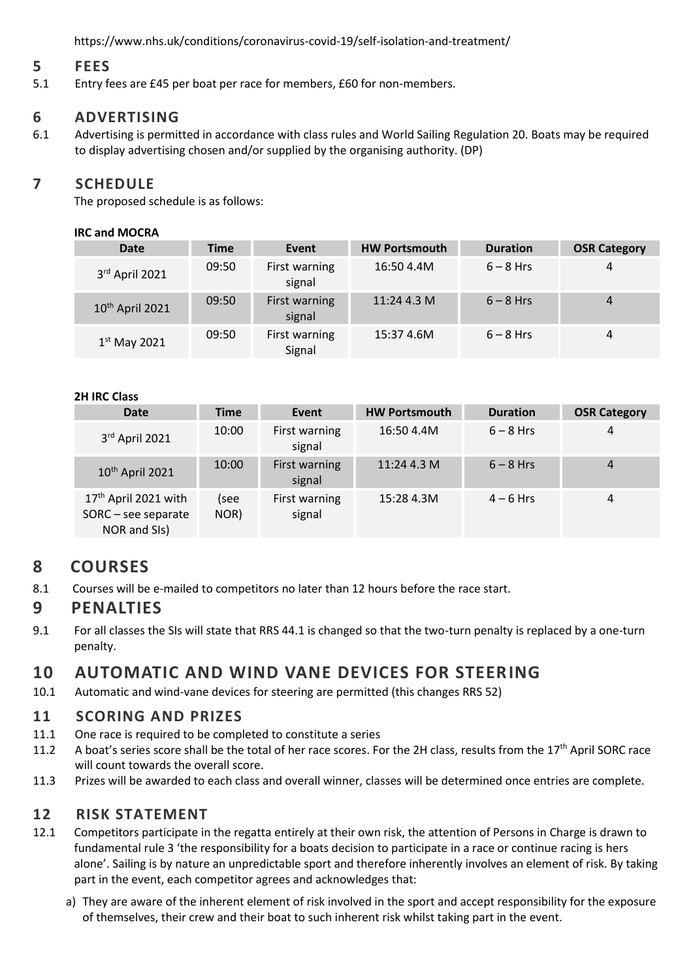<https://www.nhs.uk/conditions/coronavirus-covid-19/self-isolation-and-treatment/>

### **5 FEES**

5.1 Entry fees are £45 per boat per race for members, £60 for non-members.

## **6 ADVERTISING**

6.1 Advertising is permitted in accordance with class rules and World Sailing Regulation 20. Boats may be required to display advertising chosen and/or supplied by the organising authority. (DP)

## **7 SCHEDULE**

The proposed schedule is as follows:

#### **IRC and MOCRA**

| <b>Date</b>                 | Time  | Event                   | <b>HW Portsmouth</b> | <b>Duration</b> | <b>OSR Category</b> |
|-----------------------------|-------|-------------------------|----------------------|-----------------|---------------------|
| 3rd April 2021              | 09:50 | First warning<br>signal | 16:50 4.4M           | $6 - 8$ Hrs     | 4                   |
| 10 <sup>th</sup> April 2021 | 09:50 | First warning<br>signal | 11:244.3M            | $6 - 8$ Hrs     | 4                   |
| $1st$ May 2021              | 09:50 | First warning<br>Signal | 15:37 4.6M           | $6 - 8$ Hrs     | 4                   |

#### **2H IRC Class**

| Date                                                                      | <b>Time</b>  | Event                   | <b>HW Portsmouth</b> | <b>Duration</b> | <b>OSR Category</b> |
|---------------------------------------------------------------------------|--------------|-------------------------|----------------------|-----------------|---------------------|
| 3rd April 2021                                                            | 10:00        | First warning<br>signal | 16:50 4.4M           | $6 - 8$ Hrs     | 4                   |
| 10 <sup>th</sup> April 2021                                               | 10:00        | First warning<br>signal | 11:244.3M            | $6 - 8$ Hrs     | 4                   |
| 17 <sup>th</sup> April 2021 with<br>$SORC - see separate$<br>NOR and SIs) | (see<br>NOR) | First warning<br>signal | 15:28 4.3M           | $4 - 6$ Hrs     | $\overline{4}$      |

# **8 COURSES**

8.1 Courses will be e-mailed to competitors no later than 12 hours before the race start.

## **9 PENALTIES**

9.1 For all classes the SIs will state that RRS 44.1 is changed so that the two-turn penalty is replaced by a one-turn penalty.

# **10 AUTOMATIC AND WIND VANE DEVICES FOR STEERING**

10.1 Automatic and wind-vane devices for steering are permitted (this changes RRS 52)

## **11 SCORING AND PRIZES**

- 11.1 One race is required to be completed to constitute a series
- 11.2 A boat's series score shall be the total of her race scores. For the 2H class, results from the  $17<sup>th</sup>$  April SORC race will count towards the overall score.
- 11.3 Prizes will be awarded to each class and overall winner, classes will be determined once entries are complete.

## **12 RISK STATEMENT**

- 12.1 Competitors participate in the regatta entirely at their own risk, the attention of Persons in Charge is drawn to fundamental rule 3 'the responsibility for a boats decision to participate in a race or continue racing is hers alone'. Sailing is by nature an unpredictable sport and therefore inherently involves an element of risk. By taking part in the event, each competitor agrees and acknowledges that:
	- a) They are aware of the inherent element of risk involved in the sport and accept responsibility for the exposure of themselves, their crew and their boat to such inherent risk whilst taking part in the event.